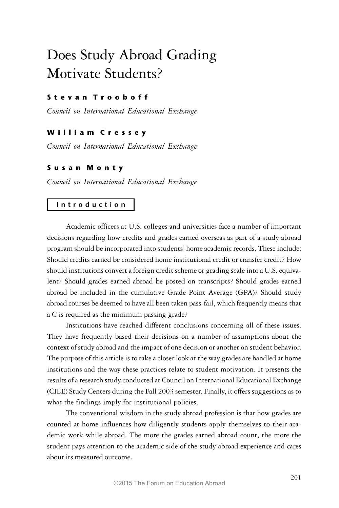# Does Study Abroad Grading Motivate Students?

## S t e v a n T r o o b o f f

*Council on International Educational Exchange*

## William Cressey

*Council on International Educational Exchange*

# S u s a n M o n t y

*Council on International Educational Exchange*

## I n t r o d u c t i o n

Academic officers at U.S. colleges and universities face a number of important decisions regarding how credits and grades earned overseas as part of a study abroad program should be incorporated into students' home academic records. These include: Should credits earned be considered home institutional credit or transfer credit? How should institutions convert a foreign credit scheme or grading scale into a U.S. equivalent? Should grades earned abroad be posted on transcripts? Should grades earned abroad be included in the cumulative Grade Point Average (GPA)? Should study abroad courses be deemed to have all been taken pass-fail, which frequently means that a C is required as the minimum passing grade?

Institutions have reached different conclusions concerning all of these issues. They have frequently based their decisions on a number of assumptions about the context of study abroad and the impact of one decision or another on student behavior. The purpose of this article is to take a closer look at the way grades are handled at home institutions and the way these practices relate to student motivation. It presents the results of a research study conducted at Council on International Educational Exchange (CIEE) Study Centers during the Fall 2003 semester. Finally, it offers suggestions as to what the findings imply for institutional policies.

The conventional wisdom in the study abroad profession is that how grades are counted at home influences how diligently students apply themselves to their academic work while abroad. The more the grades earned abroad count, the more the student pays attention to the academic side of the study abroad experience and cares about its measured outcome.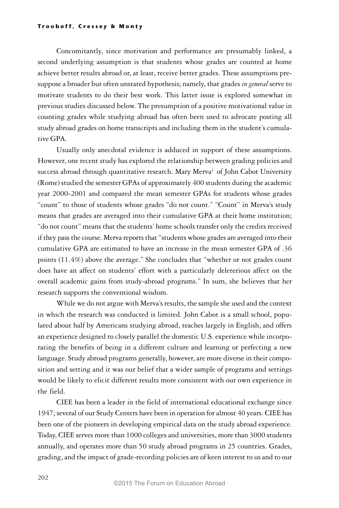Concomitantly, since motivation and performance are presumably linked, a second underlying assumption is that students whose grades are counted at home achieve better results abroad or, at least, receive better grades. These assumptions presuppose a broader but often unstated hypothesis; namely, that grades *in general* serve to motivate students to do their best work. This latter issue is explored somewhat in previous studies discussed below. The presumption of a positive motivational value in counting grades while studying abroad has often been used to advocate posting all study abroad grades on home transcripts and including them in the student's cumulative GPA.

Usually only anecdotal evidence is adduced in support of these assumptions. However, one recent study has explored the relationship between grading policies and success abroad through quantitative research. Mary  $Merva<sup>1</sup>$  of John Cabot University (Rome) studied the semester GPAs of approximately 400 students during the academic year 2000-2001 and compared the mean semester GPAs for students whose grades "count" to those of students whose grades "do not count." "Count" in Merva's study means that grades are averaged into their cumulative GPA at their home institution; "do not count" means that the students' home schools transfer only the credits received if they pass the course. Merva reports that "students whose grades are averaged into their cumulative GPA are estimated to have an increase in the mean semester GPA of .36 points (11.4%) above the average." She concludes that "whether or not grades count does have an affect on students' effort with a particularly deleterious affect on the overall academic gains from study-abroad programs." In sum, she believes that her research supports the conventional wisdom.

While we do not argue with Merva's results, the sample she used and the context in which the research was conducted is limited. John Cabot is a small school, populated about half by Americans studying abroad, teaches largely in English, and offers an experience designed to closely parallel the domestic U.S. experience while incorporating the benefits of being in a different culture and learning or perfecting a new language. Study abroad programs generally, however, are more diverse in their composition and setting and it was our belief that a wider sample of programs and settings would be likely to elicit different results more consistent with our own experience in the field.

CIEE has been a leader in the field of international educational exchange since 1947; several of our Study Centers have been in operation for almost 40 years. CIEE has been one of the pioneers in developing empirical data on the study abroad experience. Today, CIEE serves more than 1000 colleges and universities, more than 3000 students annually, and operates more than 50 study abroad programs in 25 countries. Grades, grading, and the impact of grade-recording policies are of keen interest to us and to our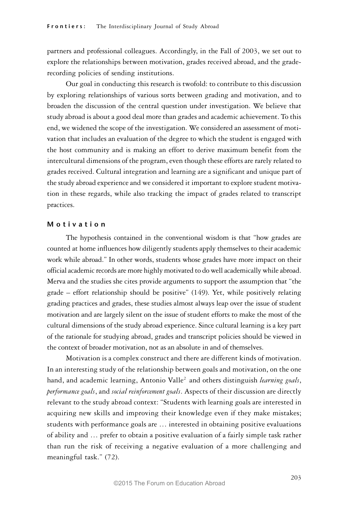partners and professional colleagues. Accordingly, in the Fall of 2003, we set out to explore the relationships between motivation, grades received abroad, and the graderecording policies of sending institutions.

Our goal in conducting this research is twofold: to contribute to this discussion by exploring relationships of various sorts between grading and motivation, and to broaden the discussion of the central question under investigation. We believe that study abroad is about a good deal more than grades and academic achievement. To this end, we widened the scope of the investigation. We considered an assessment of motivation that includes an evaluation of the degree to which the student is engaged with the host community and is making an effort to derive maximum benefit from the intercultural dimensions of the program, even though these efforts are rarely related to grades received. Cultural integration and learning are a significant and unique part of the study abroad experience and we considered it important to explore student motivation in these regards, while also tracking the impact of grades related to transcript practices.

#### M o tivation

The hypothesis contained in the conventional wisdom is that "how grades are counted at home influences how diligently students apply themselves to their academic work while abroad." In other words, students whose grades have more impact on their official academic records are more highly motivated to do well academically while abroad. Merva and the studies she cites provide arguments to support the assumption that "the grade – effort relationship should be positive" (149). Yet, while positively relating grading practices and grades, these studies almost always leap over the issue of student motivation and are largely silent on the issue of student efforts to make the most of the cultural dimensions of the study abroad experience. Since cultural learning is a key part of the rationale for studying abroad, grades and transcript policies should be viewed in the context of broader motivation, not as an absolute in and of themselves.

Motivation is a complex construct and there are different kinds of motivation. In an interesting study of the relationship between goals and motivation, on the one hand, and academic learning, Antonio Valle<sup>2</sup> and others distinguish *learning goals*, *performance goals*, and *social reinforcement goals*. Aspects of their discussion are directly relevant to the study abroad context: "Students with learning goals are interested in acquiring new skills and improving their knowledge even if they make mistakes; students with performance goals are … interested in obtaining positive evaluations of ability and … prefer to obtain a positive evaluation of a fairly simple task rather than run the risk of receiving a negative evaluation of a more challenging and meaningful task." (72).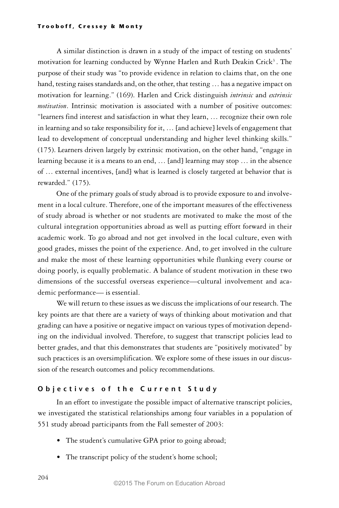A similar distinction is drawn in a study of the impact of testing on students' motivation for learning conducted by Wynne Harlen and Ruth Deakin Crick<sup>3</sup>. The purpose of their study was "to provide evidence in relation to claims that, on the one hand, testing raises standards and, on the other, that testing ... has a negative impact on motivation for learning." (169). Harlen and Crick distinguish *intrinsic* and *extrinsic motivation*. Intrinsic motivation is associated with a number of positive outcomes: "learners find interest and satisfaction in what they learn, … recognize their own role in learning and so take responsibility for it, … [and achieve] levels of engagement that lead to development of conceptual understanding and higher level thinking skills." (175). Learners driven largely by extrinsic motivation, on the other hand, "engage in learning because it is a means to an end, … [and] learning may stop … in the absence of … external incentives, [and] what is learned is closely targeted at behavior that is rewarded." (175).

One of the primary goals of study abroad is to provide exposure to and involvement in a local culture. Therefore, one of the important measures of the effectiveness of study abroad is whether or not students are motivated to make the most of the cultural integration opportunities abroad as well as putting effort forward in their academic work. To go abroad and not get involved in the local culture, even with good grades, misses the point of the experience. And, to get involved in the culture and make the most of these learning opportunities while flunking every course or doing poorly, is equally problematic. A balance of student motivation in these two dimensions of the successful overseas experience—cultural involvement and academic performance— is essential.

We will return to these issues as we discuss the implications of our research. The key points are that there are a variety of ways of thinking about motivation and that grading can have a positive or negative impact on various types of motivation depending on the individual involved. Therefore, to suggest that transcript policies lead to better grades, and that this demonstrates that students are "positively motivated" by such practices is an oversimplification. We explore some of these issues in our discussion of the research outcomes and policy recommendations.

## O b j e c tives of the Current Study

In an effort to investigate the possible impact of alternative transcript policies, we investigated the statistical relationships among four variables in a population of 551 study abroad participants from the Fall semester of 2003:

- The student's cumulative GPA prior to going abroad;
- The transcript policy of the student's home school;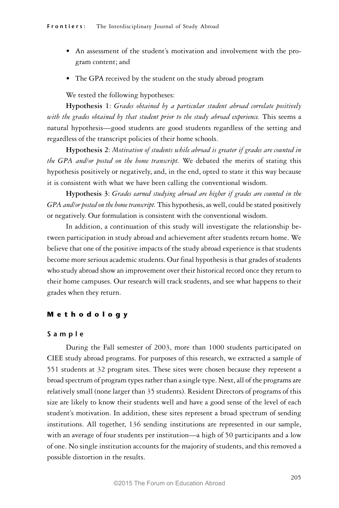- An assessment of the student's motivation and involvement with the program content; and
- The GPA received by the student on the study abroad program

We tested the following hypotheses:

**Hypothesis 1**: *Grades obtained by a particular student abroad correlate positively* with the grades obtained by that student prior to the study abroad experience. This seems a natural hypothesis—good students are good students regardless of the setting and regardless of the transcript policies of their home schools.

**Hypothesis 2**: *Motivation of students while abroad is greater if grades are counted in the GPA and/or posted on the home transcript.* We debated the merits of stating this hypothesis positively or negatively, and, in the end, opted to state it this way because it is consistent with what we have been calling the conventional wisdom.

**Hypothesis 3**: *Grades earned studying abroad are higher if grades are counted in the GPA and/or posted on the home transcript.* This hypothesis, as well, could be stated positively or negatively. Our formulation is consistent with the conventional wisdom.

In addition, a continuation of this study will investigate the relationship between participation in study abroad and achievement after students return home. We believe that one of the positive impacts of the study abroad experience is that students become more serious academic students. Our final hypothesis is that grades of students who study abroad show an improvement over their historical record once they return to their home campuses. Our research will track students, and see what happens to their grades when they return.

#### M e t h o d o l o g y

#### S a m p l e

During the Fall semester of 2003, more than 1000 students participated on CIEE study abroad programs. For purposes of this research, we extracted a sample of 551 students at 32 program sites. These sites were chosen because they represent a broad spectrum of program types rather than a single type. Next, all of the programs are relatively small (none larger than 35 students). Resident Directors of programs of this size are likely to know their students well and have a good sense of the level of each student's motivation. In addition, these sites represent a broad spectrum of sending institutions. All together, 136 sending institutions are represented in our sample, with an average of four students per institution—a high of 50 participants and a low of one. No single institution accounts for the majority of students, and this removed a possible distortion in the results.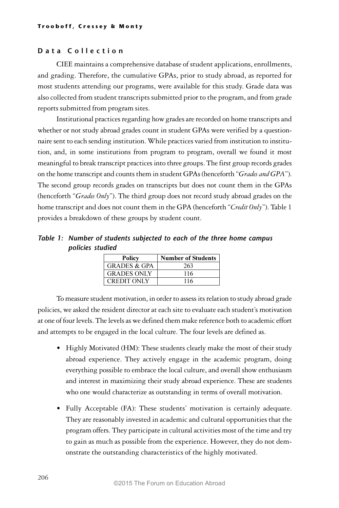## D a t a C ollection

CIEE maintains a comprehensive database of student applications, enrollments, and grading. Therefore, the cumulative GPAs, prior to study abroad, as reported for most students attending our programs, were available for this study. Grade data was also collected from student transcripts submitted prior to the program, and from grade reports submitted from program sites.

Institutional practices regarding how grades are recorded on home transcripts and whether or not study abroad grades count in student GPAs were verified by a questionnaire sent to each sending institution. While practices varied from institution to institution, and, in some institutions from program to program, overall we found it most meaningful to break transcript practices into three groups. The first group records grades on the home transcript and counts them in student GPAs (henceforth "*Grades and GPA*"). The second group records grades on transcripts but does not count them in the GPAs (henceforth "*Grades Only*"). The third group does not record study abroad grades on the home transcript and does not count them in the GPA (henceforth "*Credit Only*"). Table 1 provides a breakdown of these groups by student count.

Table 1: Number of students subjected to each of the three home campus policies studied

| Policy                  | <b>Number of Students</b> |
|-------------------------|---------------------------|
| <b>GRADES &amp; GPA</b> | 263                       |
| <b>GRADES ONLY</b>      | 116                       |
| <b>CREDIT ONLY</b>      | 116                       |

To measure student motivation, in order to assess its relation to study abroad grade policies, we asked the resident director at each site to evaluate each student's motivation at one of four levels. The levels as we defined them make reference both to academic effort and attempts to be engaged in the local culture. The four levels are defined as.

- Highly Motivated (HM): These students clearly make the most of their study abroad experience. They actively engage in the academic program, doing everything possible to embrace the local culture, and overall show enthusiasm and interest in maximizing their study abroad experience. These are students who one would characterize as outstanding in terms of overall motivation.
- Fully Acceptable (FA): These students' motivation is certainly adequate. They are reasonably invested in academic and cultural opportunities that the program offers. They participate in cultural activities most of the time and try to gain as much as possible from the experience. However, they do not demonstrate the outstanding characteristics of the highly motivated.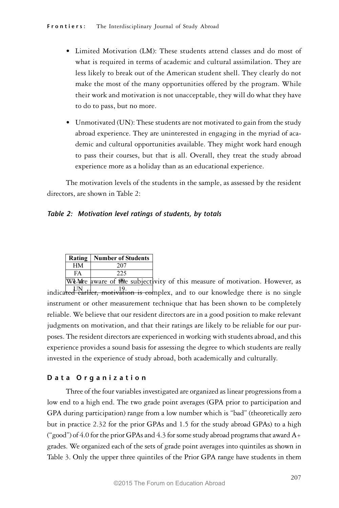- Limited Motivation (LM): These students attend classes and do most of what is required in terms of academic and cultural assimilation. They are less likely to break out of the American student shell. They clearly do not make the most of the many opportunities offered by the program. While their work and motivation is not unacceptable, they will do what they have to do to pass, but no more.
- Unmotivated (UN): These students are not motivated to gain from the study abroad experience. They are uninterested in engaging in the myriad of academic and cultural opportunities available. They might work hard enough to pass their courses, but that is all. Overall, they treat the study abroad experience more as a holiday than as an educational experience.

The motivation levels of the students in the sample, as assessed by the resident directors, are shown in Table 2:

## Table 2: Motivation level ratings of students, by totals

|    | <b>Rating   Number of Students</b> |
|----|------------------------------------|
| HМ | 207                                |
| FA | 225                                |
|    |                                    |

We Mare aware of the subjectivity of this measure of motivation. However, as indica<del>ted earlier, motivation is co</del>mplex, and to our knowledge there is no single instrument or other measurement technique that has been shown to be completely reliable. We believe that our resident directors are in a good position to make relevant judgments on motivation, and that their ratings are likely to be reliable for our purposes. The resident directors are experienced in working with students abroad, and this experience provides a sound basis for assessing the degree to which students are really invested in the experience of study abroad, both academically and culturally.

## Data Organization

Three of the four variables investigated are organized as linear progressions from a low end to a high end. The two grade point averages (GPA prior to participation and GPA during participation) range from a low number which is "bad" (theoretically zero but in practice 2.32 for the prior GPAs and 1.5 for the study abroad GPAs) to a high ("good") of 4.0 for the prior GPAs and 4.3 for some study abroad programs that award  $A_{\pm}$ grades. We organized each of the sets of grade point averages into quintiles as shown in Table 3. Only the upper three quintiles of the Prior GPA range have students in them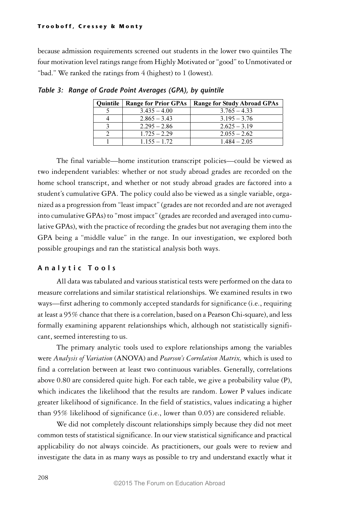because admission requirements screened out students in the lower two quintiles The four motivation level ratings range from Highly Motivated or "good" to Unmotivated or "bad." We ranked the ratings from 4 (highest) to 1 (lowest).

| Quintile | <b>Range for Prior GPAs</b> | <b>Range for Study Abroad GPAs</b> |
|----------|-----------------------------|------------------------------------|
|          | $3.435 - 4.00$              | $3.765 - 4.33$                     |
|          | $2.865 - 3.43$              | $3.195 - 3.76$                     |
|          | $2.295 - 2.86$              | $2.625 - 3.19$                     |
|          | $1.725 - 2.29$              | $2.055 - 2.62$                     |
|          | $1.155 - 1.72$              | $1.484 - 2.05$                     |

Table 3: Range of Grade Point Averages (GPA), by quintile

The final variable—home institution transcript policies—could be viewed as two independent variables: whether or not study abroad grades are recorded on the home school transcript, and whether or not study abroad grades are factored into a student's cumulative GPA. The policy could also be viewed as a single variable, organized as a progression from "least impact" (grades are not recorded and are not averaged into cumulative GPAs) to "most impact" (grades are recorded and averaged into cumulative GPAs), with the practice of recording the grades but not averaging them into the GPA being a "middle value" in the range. In our investigation, we explored both possible groupings and ran the statistical analysis both ways.

## Analytic Tools

All data was tabulated and various statistical tests were performed on the data to measure correlations and similar statistical relationships. We examined results in two ways—first adhering to commonly accepted standards for significance (i.e., requiring at least a 95% chance that there is a correlation, based on a Pearson Chi-square), and less formally examining apparent relationships which, although not statistically significant, seemed interesting to us.

The primary analytic tools used to explore relationships among the variables were *Analysis of Variation* (ANOVA) and *Pearson's Correlation Matrix,* which is used to find a correlation between at least two continuous variables. Generally, correlations above 0.80 are considered quite high. For each table, we give a probability value (P), which indicates the likelihood that the results are random. Lower P values indicate greater likelihood of significance. In the field of statistics, values indicating a higher than 95% likelihood of significance (i.e., lower than 0.05) are considered reliable.

We did not completely discount relationships simply because they did not meet common tests of statistical significance. In our view statistical significance and practical applicability do not always coincide. As practitioners, our goals were to review and investigate the data in as many ways as possible to try and understand exactly what it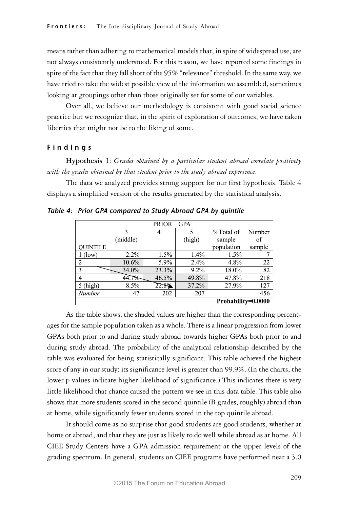means rather than adhering to mathematical models that, in spite of widespread use, are not always consistently understood. For this reason, we have reported some findings in spite of the fact that they fall short of the 95% "relevance" threshold. In the same way, we have tried to take the widest possible view of the information we assembled, sometimes looking at groupings other than those originally set for some of our variables.

Over all, we believe our methodology is consistent with good social science practice but we recognize that, in the spirit of exploration of outcomes, we have taken liberties that might not be to the liking of some.

#### F i n d i n g s

**Hypothesis 1**: *Grades obtained by a particular student abroad correlate positively with the grades obtained by that student prior to the study abroad experience.*

The data we analyzed provides strong support for our first hypothesis. Table 4 displays a simplified version of the results generated by the statistical analysis.

|                 |                    | <b>PRIOR</b> | <b>GPA</b> |            |        |  |  |
|-----------------|--------------------|--------------|------------|------------|--------|--|--|
|                 | ٩                  | 4            | 5          | %Total of  | Number |  |  |
|                 | (middle)           |              | (high)     | sample     | of     |  |  |
| <b>OUINTILE</b> |                    |              |            | population | sample |  |  |
| l (low)         | $2.2\%$            | $1.5\%$      | 1.4%       | $1.5\%$    |        |  |  |
| 2               | 10.6%              | 5.9%         | $2.4\%$    | 4.8%       | 22     |  |  |
| 3               | 34.0%              | 23.3%        | $9.2\%$    | 18.0%      | 82     |  |  |
| 4               | 7%                 | 46.5%        | 49.8%      | 47.8%      | 218    |  |  |
| $5$ (high)      | 8.5%               | 22.8%        | 37.2%      | 27.9%      | 127    |  |  |
| Number          | 47                 | 202          | 207        |            | 456    |  |  |
|                 | Probability=0.0000 |              |            |            |        |  |  |

Table 4: Prior GPA compared to Study Abroad GPA by quintile

As the table shows, the shaded values are higher than the corresponding percentages for the sample population taken as a whole. There is a linear progression from lower GPAs both prior to and during study abroad towards higher GPAs both prior to and during study abroad. The probability of the analytical relationship described by the table was evaluated for being statistically significant. This table achieved the highest score of any in our study: its significance level is greater than 99.9%. (In the charts, the lower p values indicate higher likelihood of significance.) This indicates there is very little likelihood that chance caused the pattern we see in this data table. This table also shows that more students scored in the second quintile (B grades, roughly) abroad than at home, while significantly fewer students scored in the top quintile abroad.

It should come as no surprise that good students are good students, whether at home or abroad, and that they are just as likely to do well while abroad as at home. All CIEE Study Centers have a GPA admission requirement at the upper levels of the grading spectrum. In general, students on CIEE programs have performed near a 3.0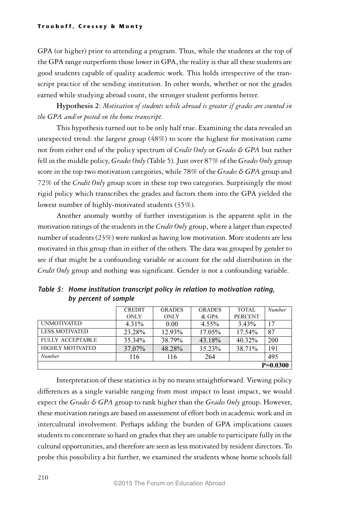GPA (or higher) prior to attending a program. Thus, while the students at the top of the GPA range outperform those lower in GPA, the reality is that all these students are good students capable of quality academic work. This holds irrespective of the transcript practice of the sending institution. In other words, whether or not the grades earned while studying abroad count, the stronger student performs better.

**Hypothesis 2**: *Motivation of students while abroad is greater if grades are counted in the GPA and/or posted on the home transcript.*

This hypothesis turned out to be only half true. Examining the data revealed an unexpected trend: the largest group (48%) to score the highest for motivation came not from either end of the policy spectrum of *Credit Only* or *Grades & GPA* but rather fell in the middle policy, *Grades Only* (Table 5). Just over 87% of the *Grades Only* group score in the top two motivation categories, while 78% of the *Grades & GPA* group and 72% of the *Credit Only* group score in these top two categories. Surprisingly the most rigid policy which transcribes the grades and factors them into the GPA yielded the lowest number of highly-motivated students (35%).

Another anomaly worthy of further investigation is the apparent split in the motivation ratings of the students in the *Credit Only* group, where a larger than expected number of students (23%) were ranked as having low motivation. More students are less motivated in this group than in either of the others. The data was grouped by gender to see if that might be a confounding variable or account for the odd distribution in the *Credit Only* group and nothing was significant. Gender is not a confounding variable.

|                         | <b>CREDIT</b> | <b>GRADES</b> | <b>GRADES</b> | TOTAL          | Number     |
|-------------------------|---------------|---------------|---------------|----------------|------------|
|                         | <b>ONLY</b>   | <b>ONLY</b>   | & GPA         | <b>PERCENT</b> |            |
| <b>UNMOTIVATED</b>      | 4.31%         | 0.00          | 4.55%         | 3.43%          | 17         |
| <b>LESS MOTIVATED</b>   | 23.28%        | 12.93%        | 17.05%        | 17.54%         | 87         |
| <b>FULLY ACCEPTABLE</b> | 35.34%        | 38.79%        | 43.18%        | 40.32%         | 200        |
| <b>HIGHLY MOTIVATED</b> | 37.07%        | 48.28%        | 35.23%        | 38.71%         | 191        |
| Number                  | 116           | 116           | 264           |                | 495        |
|                         |               |               |               |                | $P=0.0300$ |

Table 5: Home institution transcript policy in relation to motivation rating, by percent of sample

Interpretation of these statistics is by no means straightforward. Viewing policy differences as a single variable ranging from most impact to least impact, we would expect the *Grades & GPA* group to rank higher than the *Grades Only* group. However, these motivation ratings are based on assessment of effort both in academic work and in intercultural involvement. Perhaps adding the burden of GPA implications causes students to concentrate so hard on grades that they are unable to participate fully in the cultural opportunities, and therefore are seen as less motivated by resident directors. To probe this possibility a bit further, we examined the students whose home schools fall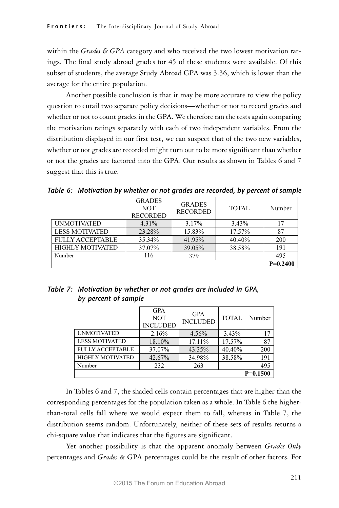within the *Grades & GPA* category and who received the two lowest motivation ratings. The final study abroad grades for 45 of these students were available. Of this subset of students, the average Study Abroad GPA was 3.36, which is lower than the average for the entire population.

Another possible conclusion is that it may be more accurate to view the policy question to entail two separate policy decisions—whether or not to record grades and whether or not to count grades in the GPA. We therefore ran the tests again comparing the motivation ratings separately with each of two independent variables. From the distribution displayed in our first test, we can suspect that of the two new variables, whether or not grades are recorded might turn out to be more significant than whether or not the grades are factored into the GPA. Our results as shown in Tables 6 and 7 suggest that this is true.

Table 6: Motivation by whether or not grades are recorded, by percent of sample

| <b>RECORDED</b><br><b>UNMOTIVATED</b><br>4.31%<br>3.17%<br>3.43%<br><b>LESS MOTIVATED</b><br>23.28%<br>17.57%<br>15.83%<br>FULLY ACCEPTABLE<br>35.34%<br>41.95%<br>40.40%<br><b>HIGHLY MOTIVATED</b><br>37.07%<br>38.58%<br>39.05%<br>Number<br>116 |  |                 | $P=0.2400$ |
|-----------------------------------------------------------------------------------------------------------------------------------------------------------------------------------------------------------------------------------------------------|--|-----------------|------------|
|                                                                                                                                                                                                                                                     |  | 379             | 495        |
|                                                                                                                                                                                                                                                     |  |                 | 191        |
|                                                                                                                                                                                                                                                     |  |                 | 200        |
|                                                                                                                                                                                                                                                     |  |                 | 87         |
|                                                                                                                                                                                                                                                     |  |                 | 17         |
| <b>GRADES</b><br><b>GRADES</b><br><b>NOT</b><br>TOTAL.                                                                                                                                                                                              |  | <b>RECORDED</b> | Number     |

| Table 7: Motivation by whether or not grades are included in GPA, |
|-------------------------------------------------------------------|
| by percent of sample                                              |

|                         | <b>GPA</b><br><b>NOT</b><br><b>INCLUDED</b> | <b>GPA</b><br><b>INCLUDED</b> | TOTAL  | Number     |
|-------------------------|---------------------------------------------|-------------------------------|--------|------------|
| <b>UNMOTIVATED</b>      | 2.16%                                       | 4.56%                         | 3.43%  | 17         |
| <b>LESS MOTIVATED</b>   | 18.10%                                      | 17.11%                        | 17.57% | 87         |
| <b>FULLY ACCEPTABLE</b> | 37.07%                                      | 43.35%                        | 40.40% | 200        |
| <b>HIGHLY MOTIVATED</b> | 42.67%                                      | 34.98%                        | 38.58% | 191        |
| Number                  | 232                                         | 263                           |        | 495        |
|                         |                                             |                               |        | $P=0.1500$ |

In Tables 6 and 7, the shaded cells contain percentages that are higher than the corresponding percentages for the population taken as a whole. In Table 6 the higherthan-total cells fall where we would expect them to fall, whereas in Table 7, the distribution seems random. Unfortunately, neither of these sets of results returns a chi-square value that indicates that the figures are significant.

Yet another possibility is that the apparent anomaly between *Grades Only* percentages and *Grades* & GPA percentages could be the result of other factors. For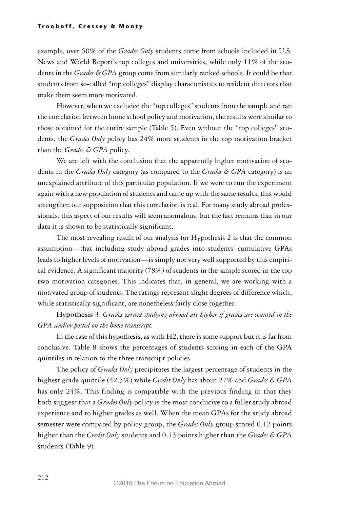example, over 50% of the *Grades Only* students come from schools included in U.S. News and World Report's top colleges and universities, while only 11% of the students in the *Grades & GPA* group come from similarly ranked schools. It could be that students from so-called "top colleges" display characteristics to resident directors that make them seem more motivated.

However, when we excluded the "top colleges" students from the sample and ran the correlation between home school policy and motivation, the results were similar to those obtained for the entire sample (Table 5). Even without the "top colleges" students, the *Grades Only* policy has 24% more students in the top motivation bracket than the *Grades & GPA* policy.

We are left with the conclusion that the apparently higher motivation of students in the *Grades Only* category (as compared to the *Grades & GPA* category) is an unexplained attribute of this particular population. If we were to run the experiment again with a new population of students and came up with the same results, this would strengthen our supposition that this correlation is real. For many study abroad professionals, this aspect of our results will seem anomalous, but the fact remains that in our data it is shown to be statistically significant.

The most revealing result of our analysis for Hypothesis 2 is that the common assumption—that including study abroad grades into students' cumulative GPAs leads to higher levels of motivation—is simply not very well supported by this empirical evidence. A significant majority (78%) of students in the sample scored in the top two motivation categories. This indicates that, in general, we are working with a motivated group of students. The ratings represent slight degrees of difference which, while statistically significant, are nonetheless fairly close together.

**Hypothesis 3**: *Grades earned studying abroad are higher if grades are counted in the GPA and/or posted on the home transcript.*

In the case of this hypothesis, as with H2, there is some support but it is far from conclusive. Table 8 shows the percentages of students scoring in each of the GPA quintiles in relation to the three transcript policies.

The policy of *Grades Only* precipitates the largest percentage of students in the highest grade quintile (42.5%) while *Credit Only* has about 27% and *Grades & GPA* has only 24%. This finding is compatible with the previous finding in that they both suggest that a *Grades Only* policy is the most conducive to a fuller study abroad experience and to higher grades as well. When the mean GPAs for the study abroad semester were compared by policy group, the *Grades Only* group scored 0.12 points higher than the *Credit Only* students and 0.13 points higher than the *Grades & GPA* students (Table 9).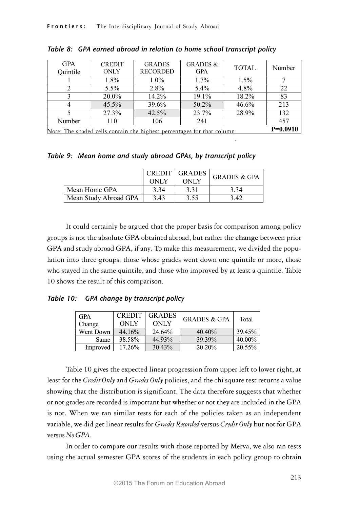| <b>GPA</b><br>Ouintile                                                 | <b>CREDIT</b><br><b>ONLY</b> | <b>GRADES</b><br><b>RECORDED</b> | <b>GRADES &amp;</b><br><b>GPA</b> | <b>TOTAL</b> | Number |
|------------------------------------------------------------------------|------------------------------|----------------------------------|-----------------------------------|--------------|--------|
|                                                                        | 1.8%                         | $1.0\%$                          | 1.7%                              | 1.5%         |        |
| 2                                                                      | 5.5%                         | 2.8%                             | 5.4%                              | 4.8%         | 22     |
| 3                                                                      | 20.0%                        | 14.2%                            | 19.1%                             | 18.2%        | 83     |
| $\overline{4}$                                                         | $45.5\%$                     | 39.6%                            | $50.2\%$                          | 46.6%        | 213    |
|                                                                        | 27.3%                        | 42.5%                            | 23.7%                             | 28.9%        | 132    |
| Number                                                                 | 110                          | 106                              | 241                               |              | 457    |
| Note: The shaded cells contain the highest percentages for that column |                              |                                  |                                   |              |        |

.

| Table 8: GPA earned abroad in relation to home school transcript policy |  |
|-------------------------------------------------------------------------|--|
|-------------------------------------------------------------------------|--|

Table 9: Mean home and study abroad GPAs, by transcript policy

|                       | <b>CREDIT</b><br><b>ONLY</b> | GRADES<br><b>ONLY</b> | <b>GRADES &amp; GPA</b> |
|-----------------------|------------------------------|-----------------------|-------------------------|
| Mean Home GPA         | 3.34                         | 3.31                  | 3.34                    |
| Mean Study Abroad GPA | 3.43                         | 3.55                  | 3.42                    |

It could certainly be argued that the proper basis for comparison among policy groups is not the absolute GPA obtained abroad, but rather the **change** between prior GPA and study abroad GPA, if any**.** To make this measurement, we divided the population into three groups: those whose grades went down one quintile or more, those who stayed in the same quintile, and those who improved by at least a quintile. Table 10 shows the result of this comparison.

Table 10: GPA change by transcript policy

| <b>GPA</b> | <b>CREDIT</b> | <b>GRADES</b> | <b>GRADES &amp; GPA</b> | Total  |
|------------|---------------|---------------|-------------------------|--------|
| Change     | <b>ONLY</b>   | <b>ONLY</b>   |                         |        |
| Went Down  | 44.16%        | 24.64%        | 40.40%                  | 39.45% |
| Same       | 38.58%        | 44.93%        | 39.39%                  | 40.00% |
| Improved   | 17.26%        | 30.43%        | 20.20%                  | 20.55% |

Table 10 gives the expected linear progression from upper left to lower right, at least for the *Credit Only* and *Grades Only* policies, and the chi square test returns a value showing that the distribution is significant. The data therefore suggests that whether or not grades are recorded is important but whether or not they are included in the GPA is not. When we ran similar tests for each of the policies taken as an independent variable, we did get linear results for *Grades Recorded* versus *Credit Only* but not for GPA versus *No GPA*.

In order to compare our results with those reported by Merva, we also ran tests using the actual semester GPA scores of the students in each policy group to obtain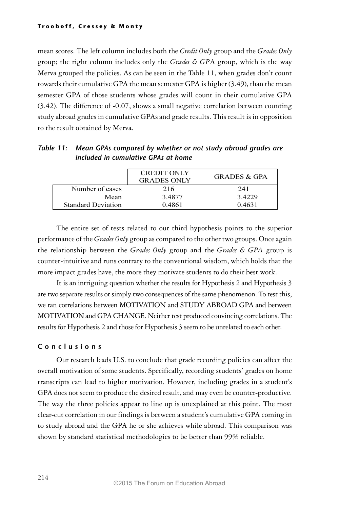mean scores. The left column includes both the *Credit Only* group and the *Grades Only* group; the right column includes only the *Grades & GP*A group, which is the way Merva grouped the policies. As can be seen in the Table 11, when grades don't count towards their cumulative GPA the mean semester GPA is higher (3.49), than the mean semester GPA of those students whose grades will count in their cumulative GPA (3.42). The difference of -0.07, shows a small negative correlation between counting study abroad grades in cumulative GPAs and grade results. This result is in opposition to the result obtained by Merva.

| Table 11: Mean GPAs compared by whether or not study abroad grades are |
|------------------------------------------------------------------------|
| included in cumulative GPAs at home                                    |

|                           | <b>CREDIT ONLY</b><br><b>GRADES ONLY</b> | <b>GRADES &amp; GPA</b> |
|---------------------------|------------------------------------------|-------------------------|
| Number of cases           | 216                                      | 241                     |
| Mean                      | 3.4877                                   | 3.4229                  |
| <b>Standard Deviation</b> | 0.4861                                   | 0.4631                  |

The entire set of tests related to our third hypothesis points to the superior performance of the *Grades Only* group as compared to the other two groups. Once again the relationship between the *Grades Only* group and the *Grades & GPA* group is counter-intuitive and runs contrary to the conventional wisdom, which holds that the more impact grades have, the more they motivate students to do their best work.

It is an intriguing question whether the results for Hypothesis 2 and Hypothesis 3 are two separate results or simply two consequences of the same phenomenon. To test this, we ran correlations between MOTIVATION and STUDY ABROAD GPA and between MOTIVATION and GPA CHANGE. Neither test produced convincing correlations. The results for Hypothesis 2 and those for Hypothesis 3 seem to be unrelated to each other.

### C o n c l u s i o n s

Our research leads U.S. to conclude that grade recording policies can affect the overall motivation of some students. Specifically, recording students' grades on home transcripts can lead to higher motivation. However, including grades in a student's GPA does not seem to produce the desired result, and may even be counter-productive. The way the three policies appear to line up is unexplained at this point. The most clear-cut correlation in our findings is between a student's cumulative GPA coming in to study abroad and the GPA he or she achieves while abroad. This comparison was shown by standard statistical methodologies to be better than 99% reliable.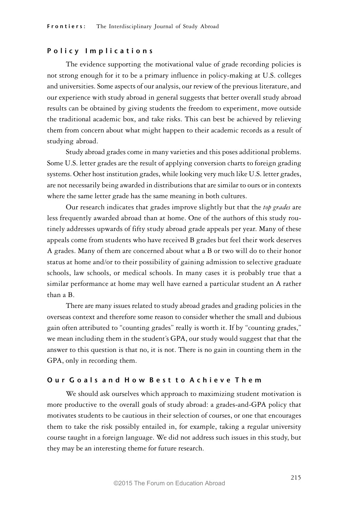#### Policy Implications

The evidence supporting the motivational value of grade recording policies is not strong enough for it to be a primary influence in policy-making at U.S. colleges and universities. Some aspects of our analysis, our review of the previous literature, and our experience with study abroad in general suggests that better overall study abroad results can be obtained by giving students the freedom to experiment, move outside the traditional academic box, and take risks. This can best be achieved by relieving them from concern about what might happen to their academic records as a result of studying abroad.

Study abroad grades come in many varieties and this poses additional problems. Some U.S. letter grades are the result of applying conversion charts to foreign grading systems. Other host institution grades, while looking very much like U.S. letter grades, are not necessarily being awarded in distributions that are similar to ours or in contexts where the same letter grade has the same meaning in both cultures.

Our research indicates that grades improve slightly but that the *top grades* are less frequently awarded abroad than at home. One of the authors of this study routinely addresses upwards of fifty study abroad grade appeals per year. Many of these appeals come from students who have received B grades but feel their work deserves A grades. Many of them are concerned about what a B or two will do to their honor status at home and/or to their possibility of gaining admission to selective graduate schools, law schools, or medical schools. In many cases it is probably true that a similar performance at home may well have earned a particular student an A rather than a B.

There are many issues related to study abroad grades and grading policies in the overseas context and therefore some reason to consider whether the small and dubious gain often attributed to "counting grades" really is worth it. If by "counting grades," we mean including them in the student's GPA, our study would suggest that that the answer to this question is that no, it is not. There is no gain in counting them in the GPA, only in recording them.

## Our Goals and How Best to Achieve Them

We should ask ourselves which approach to maximizing student motivation is more productive to the overall goals of study abroad: a grades-and-GPA policy that motivates students to be cautious in their selection of courses, or one that encourages them to take the risk possibly entailed in, for example, taking a regular university course taught in a foreign language. We did not address such issues in this study, but they may be an interesting theme for future research.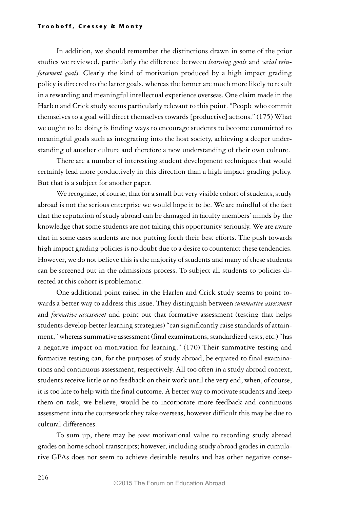In addition, we should remember the distinctions drawn in some of the prior studies we reviewed, particularly the difference between *learning goals* and *social reinforcement goals.* Clearly the kind of motivation produced by a high impact grading policy is directed to the latter goals, whereas the former are much more likely to result in a rewarding and meaningful intellectual experience overseas. One claim made in the Harlen and Crick study seems particularly relevant to this point. "People who commit themselves to a goal will direct themselves towards [productive] actions." (175) What we ought to be doing is finding ways to encourage students to become committed to meaningful goals such as integrating into the host society, achieving a deeper understanding of another culture and therefore a new understanding of their own culture.

There are a number of interesting student development techniques that would certainly lead more productively in this direction than a high impact grading policy. But that is a subject for another paper.

We recognize, of course, that for a small but very visible cohort of students, study abroad is not the serious enterprise we would hope it to be. We are mindful of the fact that the reputation of study abroad can be damaged in faculty members' minds by the knowledge that some students are not taking this opportunity seriously. We are aware that in some cases students are not putting forth their best efforts. The push towards high impact grading policies is no doubt due to a desire to counteract these tendencies. However, we do not believe this is the majority of students and many of these students can be screened out in the admissions process. To subject all students to policies directed at this cohort is problematic.

One additional point raised in the Harlen and Crick study seems to point towards a better way to address this issue. They distinguish between *summative assessment* and *formative assessment* and point out that formative assessment (testing that helps students develop better learning strategies) "can significantly raise standards of attainment," whereas summative assessment (final examinations, standardized tests, etc.) "has a negative impact on motivation for learning." (170) Their summative testing and formative testing can, for the purposes of study abroad, be equated to final examinations and continuous assessment, respectively. All too often in a study abroad context, students receive little or no feedback on their work until the very end, when, of course, it is too late to help with the final outcome. A better way to motivate students and keep them on task, we believe, would be to incorporate more feedback and continuous assessment into the coursework they take overseas, however difficult this may be due to cultural differences.

To sum up, there may be *some* motivational value to recording study abroad grades on home school transcripts; however, including study abroad grades in cumulative GPAs does not seem to achieve desirable results and has other negative conse